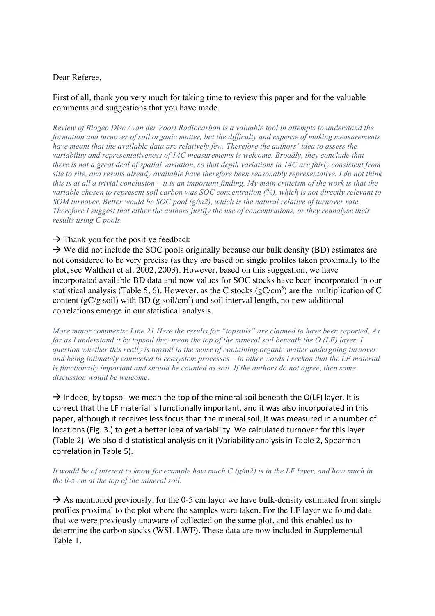## Dear Referee,

## First of all, thank you very much for taking time to review this paper and for the valuable comments and suggestions that you have made.

*Review of Biogeo Disc / van der Voort Radiocarbon is a valuable tool in attempts to understand the formation and turnover of soil organic matter, but the difficulty and expense of making measurements have meant that the available data are relatively few. Therefore the authors' idea to assess the variability and representativeness of 14C measurements is welcome. Broadly, they conclude that there is not a great deal of spatial variation, so that depth variations in 14C are fairly consistent from site to site, and results already available have therefore been reasonably representative. I do not think this is at all a trivial conclusion – it is an important finding. My main criticism of the work is that the variable chosen to represent soil carbon was SOC concentration (%), which is not directly relevant to SOM turnover. Better would be SOC pool (g/m2), which is the natural relative of turnover rate. Therefore I suggest that either the authors justify the use of concentrations, or they reanalyse their results using C pools.* 

## $\rightarrow$  Thank you for the positive feedback

 $\rightarrow$  We did not include the SOC pools originally because our bulk density (BD) estimates are not considered to be very precise (as they are based on single profiles taken proximally to the plot, see Walthert et al. 2002, 2003). However, based on this suggestion, we have incorporated available BD data and now values for SOC stocks have been incorporated in our statistical analysis (Table 5, 6). However, as the C stocks (gC/cm<sup>3</sup>) are the multiplication of C content ( $gC/g$  soil) with BD ( $g$  soil/cm<sup>3</sup>) and soil interval length, no new additional correlations emerge in our statistical analysis.

*More minor comments: Line 21 Here the results for "topsoils" are claimed to have been reported. As far as I understand it by topsoil they mean the top of the mineral soil beneath the O (LF) layer. I question whether this really is topsoil in the sense of containing organic matter undergoing turnover and being intimately connected to ecosystem processes – in other words I reckon that the LF material*  is functionally important and should be counted as soil. If the authors do not agree, then some *discussion would be welcome.* 

 $\rightarrow$  Indeed, by topsoil we mean the top of the mineral soil beneath the O(LF) layer. It is correct that the LF material is functionally important, and it was also incorporated in this paper, although it receives less focus than the mineral soil. It was measured in a number of locations (Fig. 3.) to get a better idea of variability. We calculated turnover for this layer (Table 2). We also did statistical analysis on it (Variability analysis in Table 2, Spearman correlation in Table 5).

*It would be of interest to know for example how much C (g/m2) is in the LF layer, and how much in the 0-5 cm at the top of the mineral soil.* 

 $\rightarrow$  As mentioned previously, for the 0-5 cm layer we have bulk-density estimated from single profiles proximal to the plot where the samples were taken. For the LF layer we found data that we were previously unaware of collected on the same plot, and this enabled us to determine the carbon stocks (WSL LWF). These data are now included in Supplemental Table 1.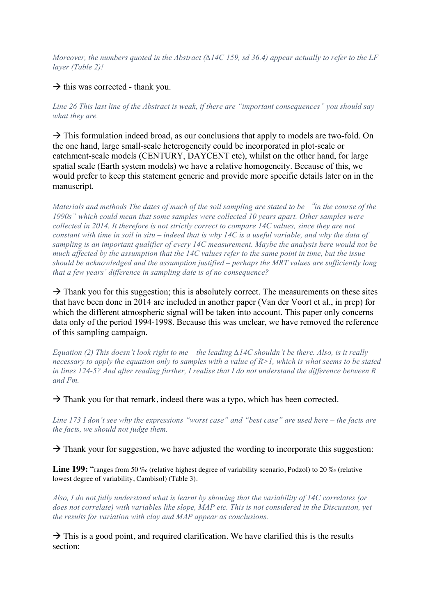*Moreover, the numbers quoted in the Abstract (∆14C 159, sd 36.4) appear actually to refer to the LF layer (Table 2)!* 

 $\rightarrow$  this was corrected - thank you.

*Line 26 This last line of the Abstract is weak, if there are "important consequences" you should say what they are.* 

 $\rightarrow$  This formulation indeed broad, as our conclusions that apply to models are two-fold. On the one hand, large small-scale heterogeneity could be incorporated in plot-scale or catchment-scale models (CENTURY, DAYCENT etc), whilst on the other hand, for large spatial scale (Earth system models) we have a relative homogeneity. Because of this, we would prefer to keep this statement generic and provide more specific details later on in the manuscript.

*Materials and methods The dates of much of the soil sampling are stated to be* "*in the course of the 1990s" which could mean that some samples were collected 10 years apart. Other samples were collected in 2014. It therefore is not strictly correct to compare 14C values, since they are not constant with time in soil in situ – indeed that is why 14C is a useful variable, and why the data of sampling is an important qualifier of every 14C measurement. Maybe the analysis here would not be much affected by the assumption that the 14C values refer to the same point in time, but the issue should be acknowledged and the assumption justified – perhaps the MRT values are sufficiently long that a few years' difference in sampling date is of no consequence?* 

 $\rightarrow$  Thank you for this suggestion; this is absolutely correct. The measurements on these sites that have been done in 2014 are included in another paper (Van der Voort et al., in prep) for which the different atmospheric signal will be taken into account. This paper only concerns data only of the period 1994-1998. Because this was unclear, we have removed the reference of this sampling campaign.

*Equation (2) This doesn't look right to me – the leading ∆14C shouldn't be there. Also, is it really necessary to apply the equation only to samples with a value of R>1, which is what seems to be stated in lines 124-5? And after reading further, I realise that I do not understand the difference between R and Fm.* 

 $\rightarrow$  Thank you for that remark, indeed there was a typo, which has been corrected.

*Line 173 I don't see why the expressions "worst case" and "best case" are used here – the facts are the facts, we should not judge them.* 

 $\rightarrow$  Thank your for suggestion, we have adjusted the wording to incorporate this suggestion:

**Line 199:** "ranges from 50 ‰ (relative highest degree of variability scenario, Podzol) to 20 ‰ (relative lowest degree of variability, Cambisol) (Table 3).

*Also, I do not fully understand what is learnt by showing that the variability of 14C correlates (or does not correlate) with variables like slope, MAP etc. This is not considered in the Discussion, yet the results for variation with clay and MAP appear as conclusions.*

 $\rightarrow$  This is a good point, and required clarification. We have clarified this is the results section: